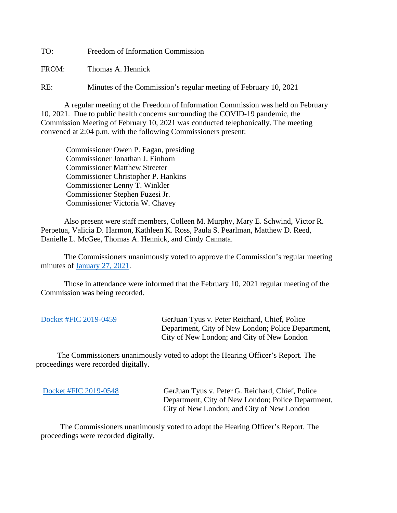TO: Freedom of Information Commission

FROM: Thomas A. Hennick

RE: Minutes of the Commission's regular meeting of February 10, 2021

A regular meeting of the Freedom of Information Commission was held on February 10, 2021. Due to public health concerns surrounding the COVID-19 pandemic, the Commission Meeting of February 10, 2021 was conducted telephonically. The meeting convened at 2:04 p.m. with the following Commissioners present:

 Commissioner Owen P. Eagan, presiding Commissioner Jonathan J. Einhorn Commissioner Matthew Streeter Commissioner Christopher P. Hankins Commissioner Lenny T. Winkler Commissioner Stephen Fuzesi Jr. Commissioner Victoria W. Chavey

Also present were staff members, Colleen M. Murphy, Mary E. Schwind, Victor R. Perpetua, Valicia D. Harmon, Kathleen K. Ross, Paula S. Pearlman, Matthew D. Reed, Danielle L. McGee, Thomas A. Hennick, and Cindy Cannata.

The Commissioners unanimously voted to approve the Commission's regular meeting minutes of [January 27, 2021.](https://portal.ct.gov/-/media/FOI/Minutes/2021/Minutes-1-27-2021b.pdf)

 Those in attendance were informed that the February 10, 2021 regular meeting of the Commission was being recorded.

| Docket #FIC 2019-0459 | GerJuan Tyus v. Peter Reichard, Chief, Police      |
|-----------------------|----------------------------------------------------|
|                       | Department, City of New London; Police Department, |
|                       | City of New London; and City of New London         |

 The Commissioners unanimously voted to adopt the Hearing Officer's Report. The proceedings were recorded digitally.

[Docket #FIC 2019-0548](https://portal.ct.gov/-/media/FOI/FinalDecisions/2021/Feb10/2019-0548.pdf) GerJuan Tyus v. Peter G. Reichard, Chief, Police Department, City of New London; Police Department, City of New London; and City of New London

 The Commissioners unanimously voted to adopt the Hearing Officer's Report. The proceedings were recorded digitally.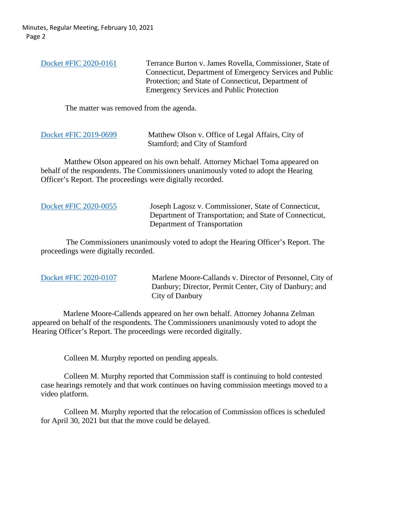| Docket #FIC 2020-0161 | Terrance Burton v. James Rovella, Commissioner, State of<br>Connecticut, Department of Emergency Services and Public<br>Protection; and State of Connecticut, Department of<br><b>Emergency Services and Public Protection</b> |
|-----------------------|--------------------------------------------------------------------------------------------------------------------------------------------------------------------------------------------------------------------------------|
|                       |                                                                                                                                                                                                                                |

The matter was removed from the agenda.

| Docket #FIC 2019-0699 | Matthew Olson v. Office of Legal Affairs, City of |
|-----------------------|---------------------------------------------------|
|                       | Stamford; and City of Stamford                    |

Matthew Olson appeared on his own behalf. Attorney Michael Toma appeared on behalf of the respondents. The Commissioners unanimously voted to adopt the Hearing Officer's Report. The proceedings were digitally recorded.

|  | Docket #FIC 2020-0055 |
|--|-----------------------|
|--|-----------------------|

Joseph Lagosz v. Commissioner, State of Connecticut, Department of Transportation; and State of Connecticut, Department of Transportation

The Commissioners unanimously voted to adopt the Hearing Officer's Report. The proceedings were digitally recorded.

| Docket #FIC 2020-0107 |
|-----------------------|
|-----------------------|

Marlene Moore-Callands v. Director of Personnel, City of Danbury; Director, Permit Center, City of Danbury; and City of Danbury

 Marlene Moore-Callends appeared on her own behalf. Attorney Johanna Zelman appeared on behalf of the respondents. The Commissioners unanimously voted to adopt the Hearing Officer's Report. The proceedings were recorded digitally.

Colleen M. Murphy reported on pending appeals.

Colleen M. Murphy reported that Commission staff is continuing to hold contested case hearings remotely and that work continues on having commission meetings moved to a video platform.

Colleen M. Murphy reported that the relocation of Commission offices is scheduled for April 30, 2021 but that the move could be delayed.